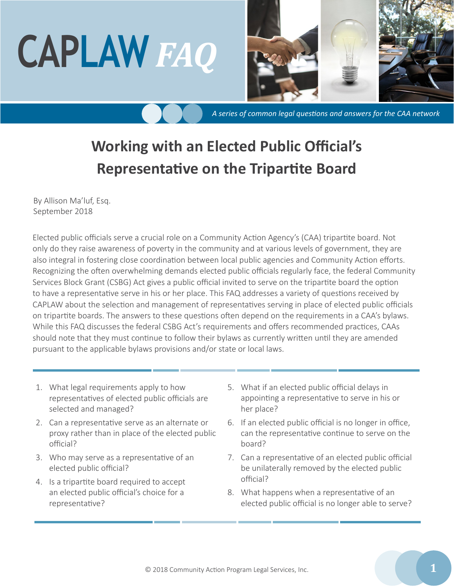# **CAPLAW** *FAQ*



*A series of common legal questions and answers for the CAA network*

## **Working with an Elected Public Official's Representative on the Tripartite Board**

By Allison Ma'luf, Esq. September 2018

Elected public officials serve a crucial role on a Community Action Agency's (CAA) tripartite board. Not only do they raise awareness of poverty in the community and at various levels of government, they are also integral in fostering close coordination between local public agencies and Community Action efforts. Recognizing the often overwhelming demands elected public officials regularly face, the federal Community Services Block Grant (CSBG) Act gives a public official invited to serve on the tripartite board the option to have a representative serve in his or her place. This FAQ addresses a variety of questions received by CAPLAW about the selection and management of representatives serving in place of elected public officials on tripartite boards. The answers to these questions often depend on the requirements in a CAA's bylaws. While this FAQ discusses the federal CSBG Act's requirements and offers recommended practices, CAAs should note that they must continue to follow their bylaws as currently written until they are amended pursuant to the applicable bylaws provisions and/or state or local laws.

- 1. What legal requirements apply to how representatives of elected public officials are selected and managed?
- 2. Can a representative serve as an alternate or proxy rather than in place of the elected public official?
- 3. Who may serve as a representative of an elected public official?
- 4. Is a tripartite board required to accept an elected public official's choice for a representative?
- 5. What if an elected public official delays in appointing a representative to serve in his or her place?
- 6. If an elected public official is no longer in office, can the representative continue to serve on the board?
- 7. Can a representative of an elected public official be unilaterally removed by the elected public official?
- 8. What happens when a representative of an elected public official is no longer able to serve?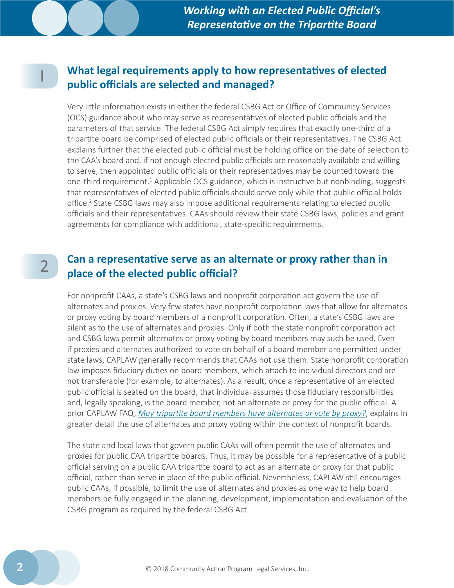2

#### I **What legal requirements apply to how representatives of elected public officials are selected and managed?**

Very little information exists in either the federal CSBG Act or Office of Community Services (OCS) guidance about who may serve as representatives of elected public officials and the parameters of that service. The federal CSBG Act simply requires that exactly one-third of a tripartite board be comprised of elected public officials or their representatives. The CSBG Act explains further that the elected public official must be holding office on the date of selection to the CAA's board and, if not enough elected public officials are reasonably available and willing to serve, then appointed public officials or their representatives may be counted toward the one-third requirement.<sup>1</sup> Applicable OCS guidance, which is instructive but nonbinding, suggests that representatives of elected public officials should serve only while that public official holds office.<sup>2</sup> State CSBG laws may also impose additional requirements relating to elected public officials and their representatives. CAAs should review their state CSBG laws, policies and grant agreements for compliance with additional, state-specific requirements.

#### **Can a representative serve as an alternate or proxy rather than in place of the elected public official?**

For nonprofit CAAs, a state's CSBG laws and nonprofit corporation act govern the use of alternates and proxies. Very few states have nonprofit corporation laws that allow for alternates or proxy voting by board members of a nonprofit corporation. Often, a state's CSBG laws are silent as to the use of alternates and proxies. Only if both the state nonprofit corporation act and CSBG laws permit alternates or proxy voting by board members may such be used. Even if proxies and alternates authorized to vote on behalf of a board member are permitted under state laws, CAPLAW generally recommends that CAAs not use them. State nonprofit corporation law imposes fiduciary duties on board members, which attach to individual directors and are not transferable (for example, to alternates). As a result, once a representative of an elected public official is seated on the board, that individual assumes those fiduciary responsibilities and, legally speaking, is the board member, not an alternate or proxy for the public official. A prior CAPLAW FAQ, *[May tripartite board members have alternates or vote by proxy?](http://bit.ly/1t970Wv)*, explains in greater detail the use of alternates and proxy voting within the context of nonprofit boards.

The state and local laws that govern public CAAs will often permit the use of alternates and proxies for public CAA tripartite boards. Thus, it may be possible for a representative of a public official serving on a public CAA tripartite board to act as an alternate or proxy for that public official, rather than serve in place of the public official. Nevertheless, CAPLAW still encourages public CAAs, if possible, to limit the use of alternates and proxies as one way to help board members be fully engaged in the planning, development, implementation and evaluation of the CSBG program as required by the federal CSBG Act.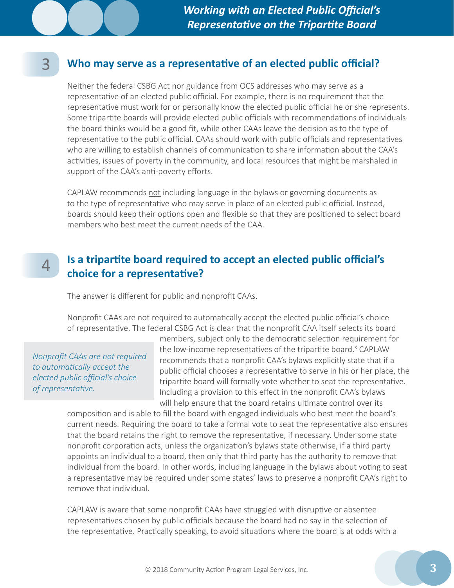#### **Who may serve as a representative of an elected public official?**

Neither the federal CSBG Act nor guidance from OCS addresses who may serve as a representative of an elected public official. For example, there is no requirement that the representative must work for or personally know the elected public official he or she represents. Some tripartite boards will provide elected public officials with recommendations of individuals the board thinks would be a good fit, while other CAAs leave the decision as to the type of representative to the public official. CAAs should work with public officials and representatives who are willing to establish channels of communication to share information about the CAA's activities, issues of poverty in the community, and local resources that might be marshaled in support of the CAA's anti-poverty efforts.

CAPLAW recommends not including language in the bylaws or governing documents as to the type of representative who may serve in place of an elected public official. Instead, boards should keep their options open and flexible so that they are positioned to select board members who best meet the current needs of the CAA.

#### **Is a tripartite board required to accept an elected public official's choice for a representative?** 4

The answer is different for public and nonprofit CAAs.

Nonprofit CAAs are not required to automatically accept the elected public official's choice of representative. The federal CSBG Act is clear that the nonprofit CAA itself selects its board

*Nonprofit CAAs are not required to automatically accept the elected public official's choice of representative.*

3

members, subject only to the democratic selection requirement for the low-income representatives of the tripartite board.<sup>3</sup> CAPLAW recommends that a nonprofit CAA's bylaws explicitly state that if a public official chooses a representative to serve in his or her place, the tripartite board will formally vote whether to seat the representative. Including a provision to this effect in the nonprofit CAA's bylaws will help ensure that the board retains ultimate control over its

composition and is able to fill the board with engaged individuals who best meet the board's current needs. Requiring the board to take a formal vote to seat the representative also ensures that the board retains the right to remove the representative, if necessary. Under some state nonprofit corporation acts, unless the organization's bylaws state otherwise, if a third party appoints an individual to a board, then only that third party has the authority to remove that individual from the board. In other words, including language in the bylaws about voting to seat a representative may be required under some states' laws to preserve a nonprofit CAA's right to remove that individual.

CAPLAW is aware that some nonprofit CAAs have struggled with disruptive or absentee representatives chosen by public officials because the board had no say in the selection of the representative. Practically speaking, to avoid situations where the board is at odds with a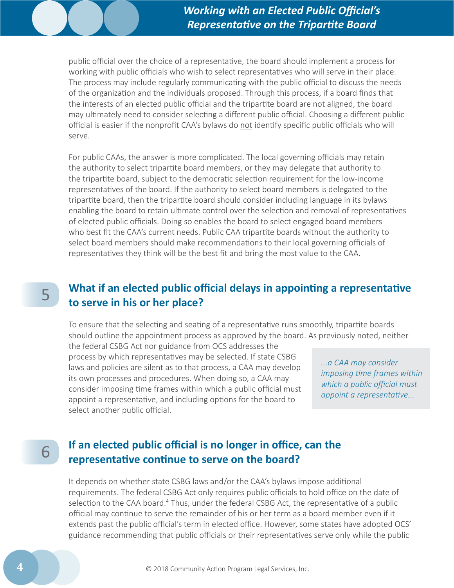public official over the choice of a representative, the board should implement a process for working with public officials who wish to select representatives who will serve in their place. The process may include regularly communicating with the public official to discuss the needs of the organization and the individuals proposed. Through this process, if a board finds that the interests of an elected public official and the tripartite board are not aligned, the board may ultimately need to consider selecting a different public official. Choosing a different public official is easier if the nonprofit CAA's bylaws do not identify specific public officials who will serve.

For public CAAs, the answer is more complicated. The local governing officials may retain the authority to select tripartite board members, or they may delegate that authority to the tripartite board, subject to the democratic selection requirement for the low-income representatives of the board. If the authority to select board members is delegated to the tripartite board, then the tripartite board should consider including language in its bylaws enabling the board to retain ultimate control over the selection and removal of representatives of elected public officials. Doing so enables the board to select engaged board members who best fit the CAA's current needs. Public CAA tripartite boards without the authority to select board members should make recommendations to their local governing officials of representatives they think will be the best fit and bring the most value to the CAA.

## 5

#### **What if an elected public official delays in appointing a representative to serve in his or her place?**

To ensure that the selecting and seating of a representative runs smoothly, tripartite boards should outline the appointment process as approved by the board. As previously noted, neither

the federal CSBG Act nor guidance from OCS addresses the process by which representatives may be selected. If state CSBG laws and policies are silent as to that process, a CAA may develop its own processes and procedures. When doing so, a CAA may consider imposing time frames within which a public official must appoint a representative, and including options for the board to select another public official.

*...a CAA may consider imposing time frames within which a public official must appoint a representative...*

## 6

#### **If an elected public official is no longer in office, can the representative continue to serve on the board?**

It depends on whether state CSBG laws and/or the CAA's bylaws impose additional requirements. The federal CSBG Act only requires public officials to hold office on the date of selection to the CAA board.<sup>4</sup> Thus, under the federal CSBG Act, the representative of a public official may continue to serve the remainder of his or her term as a board member even if it extends past the public official's term in elected office. However, some states have adopted OCS' guidance recommending that public officials or their representatives serve only while the public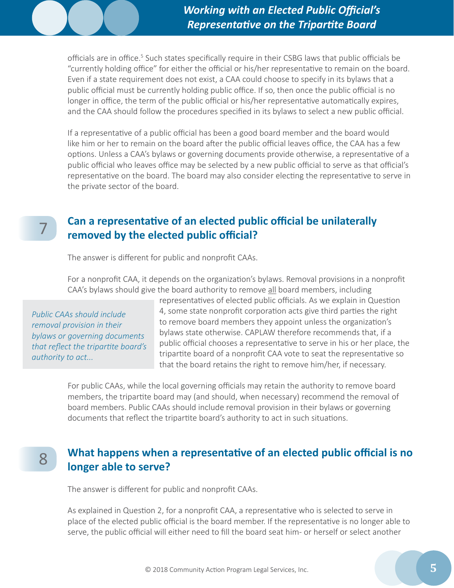officials are in office.<sup>5</sup> Such states specifically require in their CSBG laws that public officials be "currently holding office" for either the official or his/her representative to remain on the board. Even if a state requirement does not exist, a CAA could choose to specify in its bylaws that a public official must be currently holding public office. If so, then once the public official is no longer in office, the term of the public official or his/her representative automatically expires, and the CAA should follow the procedures specified in its bylaws to select a new public official.

If a representative of a public official has been a good board member and the board would like him or her to remain on the board after the public official leaves office, the CAA has a few options. Unless a CAA's bylaws or governing documents provide otherwise, a representative of a public official who leaves office may be selected by a new public official to serve as that official's representative on the board. The board may also consider electing the representative to serve in the private sector of the board.

7

8

#### **Can a representative of an elected public official be unilaterally removed by the elected public official?**

The answer is different for public and nonprofit CAAs.

For a nonprofit CAA, it depends on the organization's bylaws. Removal provisions in a nonprofit CAA's bylaws should give the board authority to remove all board members, including

*Public CAAs should include removal provision in their bylaws or governing documents that reflect the tripartite board's authority to act...*

representatives of elected public officials. As we explain in Question 4, some state nonprofit corporation acts give third parties the right to remove board members they appoint unless the organization's bylaws state otherwise. CAPLAW therefore recommends that, if a public official chooses a representative to serve in his or her place, the tripartite board of a nonprofit CAA vote to seat the representative so that the board retains the right to remove him/her, if necessary.

For public CAAs, while the local governing officials may retain the authority to remove board members, the tripartite board may (and should, when necessary) recommend the removal of board members. Public CAAs should include removal provision in their bylaws or governing documents that reflect the tripartite board's authority to act in such situations.

### **What happens when a representative of an elected public official is no longer able to serve?**

The answer is different for public and nonprofit CAAs.

As explained in Question 2, for a nonprofit CAA, a representative who is selected to serve in place of the elected public official is the board member. If the representative is no longer able to serve, the public official will either need to fill the board seat him- or herself or select another